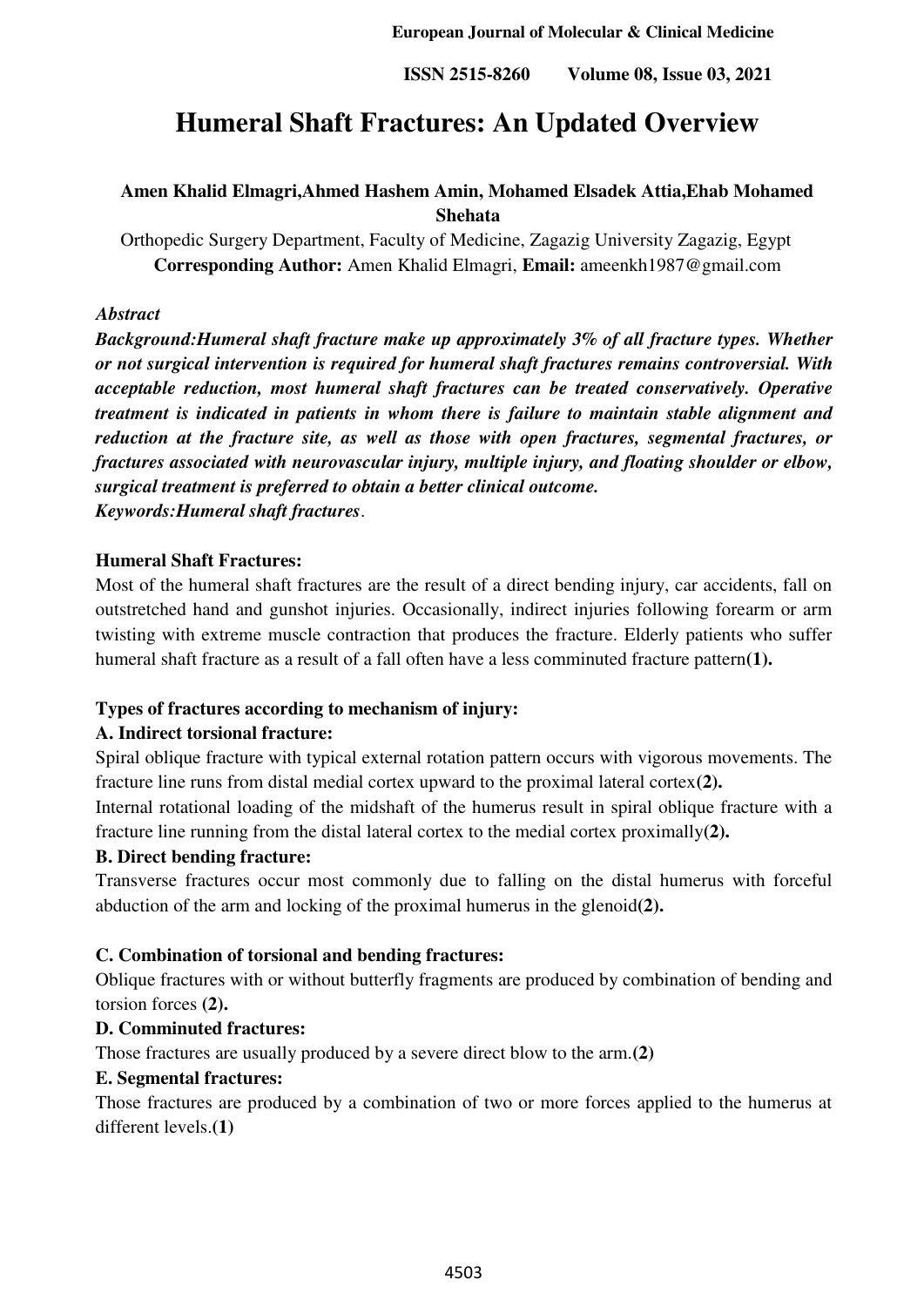# **Humeral Shaft Fractures: An Updated Overview**

# **Amen Khalid Elmagri,Ahmed Hashem Amin, Mohamed Elsadek Attia,Ehab Mohamed Shehata**

Orthopedic Surgery Department, Faculty of Medicine, Zagazig University Zagazig, Egypt **Corresponding Author:** Amen Khalid Elmagri, **Email:** ameenkh1987@gmail.com

### *Abstract*

*Background:Humeral shaft fracture make up approximately 3% of all fracture types. Whether or not surgical intervention is required for humeral shaft fractures remains controversial. With acceptable reduction, most humeral shaft fractures can be treated conservatively. Operative treatment is indicated in patients in whom there is failure to maintain stable alignment and reduction at the fracture site, as well as those with open fractures, segmental fractures, or fractures associated with neurovascular injury, multiple injury, and floating shoulder or elbow, surgical treatment is preferred to obtain a better clinical outcome. Keywords:Humeral shaft fractures*.

#### **Humeral Shaft Fractures:**

Most of the humeral shaft fractures are the result of a direct bending injury, car accidents, fall on outstretched hand and gunshot injuries. Occasionally, indirect injuries following forearm or arm twisting with extreme muscle contraction that produces the fracture. Elderly patients who suffer humeral shaft fracture as a result of a fall often have a less comminuted fracture pattern**(1).** 

#### **Types of fractures according to mechanism of injury:**

#### **A. Indirect torsional fracture:**

Spiral oblique fracture with typical external rotation pattern occurs with vigorous movements. The fracture line runs from distal medial cortex upward to the proximal lateral cortex**(2).**

Internal rotational loading of the midshaft of the humerus result in spiral oblique fracture with a fracture line running from the distal lateral cortex to the medial cortex proximally**(2).**

#### **B. Direct bending fracture:**

Transverse fractures occur most commonly due to falling on the distal humerus with forceful abduction of the arm and locking of the proximal humerus in the glenoid**(2).** 

#### **C. Combination of torsional and bending fractures:**

Oblique fractures with or without butterfly fragments are produced by combination of bending and torsion forces **(2).**

#### **D. Comminuted fractures:**

Those fractures are usually produced by a severe direct blow to the arm.**(2)**

#### **E. Segmental fractures:**

Those fractures are produced by a combination of two or more forces applied to the humerus at different levels.**(1)**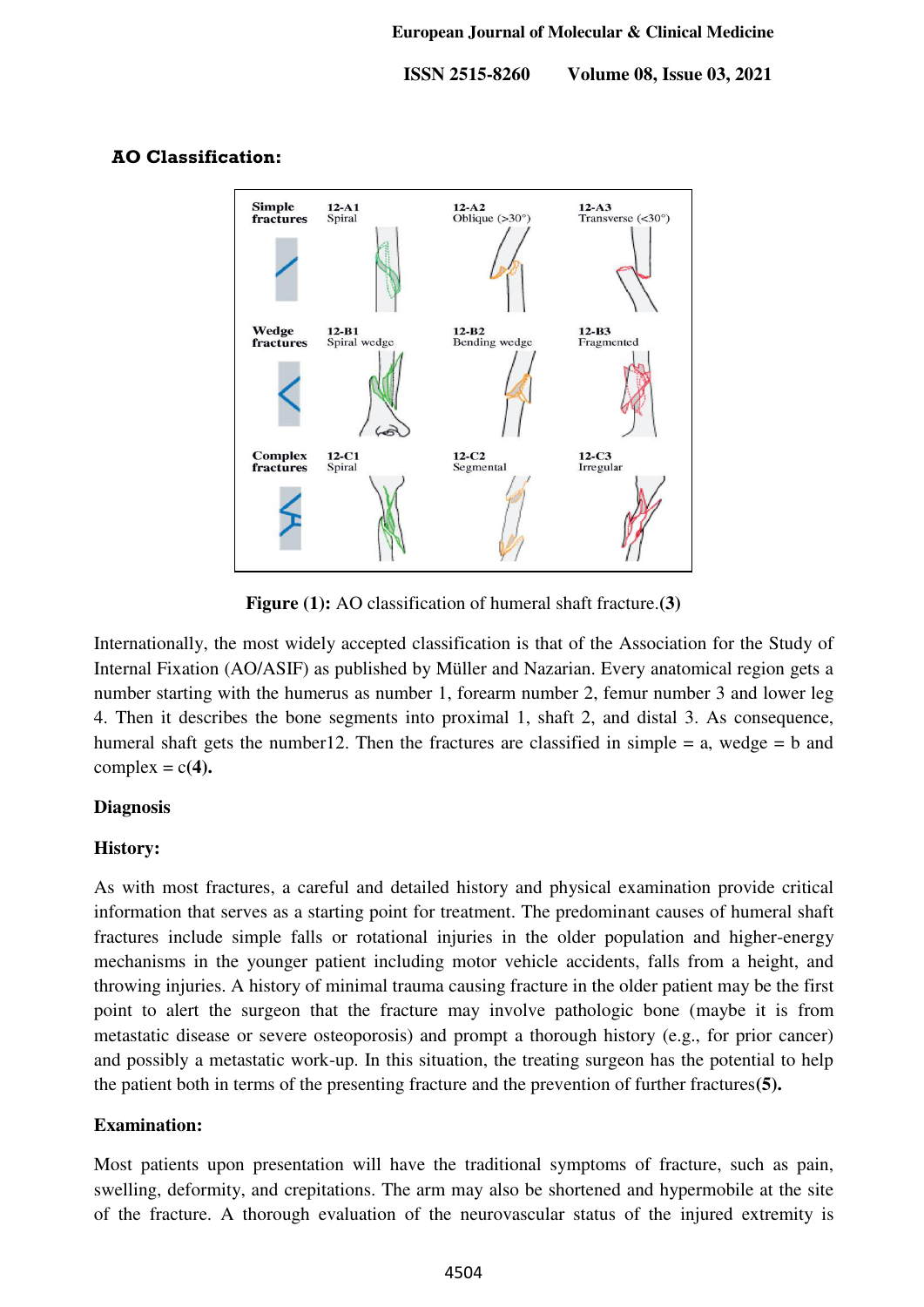

## **AO Classification:**

**Figure (1):** AO classification of humeral shaft fracture.**(3)**

Internationally, the most widely accepted classification is that of the Association for the Study of Internal Fixation (AO/ASIF) as published by Müller and Nazarian. Every anatomical region gets a number starting with the humerus as number 1, forearm number 2, femur number 3 and lower leg 4. Then it describes the bone segments into proximal 1, shaft 2, and distal 3. As consequence, humeral shaft gets the number12. Then the fractures are classified in simple = a, wedge = b and complex  $= c(4)$ .

#### **Diagnosis**

#### **History:**

As with most fractures, a careful and detailed history and physical examination provide critical information that serves as a starting point for treatment. The predominant causes of humeral shaft fractures include simple falls or rotational injuries in the older population and higher-energy mechanisms in the younger patient including motor vehicle accidents, falls from a height, and throwing injuries. A history of minimal trauma causing fracture in the older patient may be the first point to alert the surgeon that the fracture may involve pathologic bone (maybe it is from metastatic disease or severe osteoporosis) and prompt a thorough history (e.g., for prior cancer) and possibly a metastatic work-up. In this situation, the treating surgeon has the potential to help the patient both in terms of the presenting fracture and the prevention of further fractures**(5).**

#### **Examination:**

Most patients upon presentation will have the traditional symptoms of fracture, such as pain, swelling, deformity, and crepitations. The arm may also be shortened and hypermobile at the site of the fracture. A thorough evaluation of the neurovascular status of the injured extremity is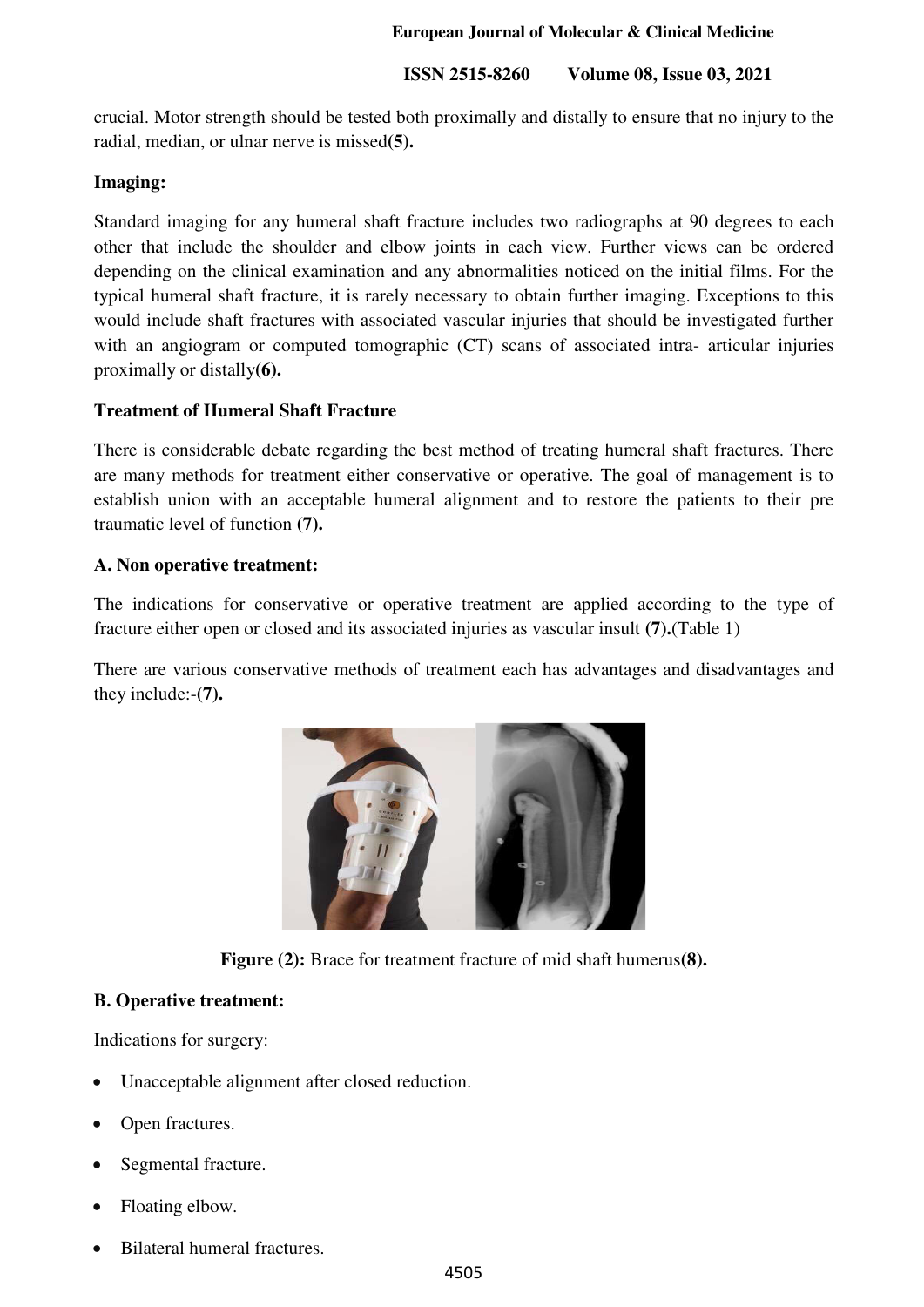crucial. Motor strength should be tested both proximally and distally to ensure that no injury to the radial, median, or ulnar nerve is missed**(5).**

### **Imaging:**

Standard imaging for any humeral shaft fracture includes two radiographs at 90 degrees to each other that include the shoulder and elbow joints in each view. Further views can be ordered depending on the clinical examination and any abnormalities noticed on the initial films. For the typical humeral shaft fracture, it is rarely necessary to obtain further imaging. Exceptions to this would include shaft fractures with associated vascular injuries that should be investigated further with an angiogram or computed tomographic (CT) scans of associated intra- articular injuries proximally or distally**(6).**

## **Treatment of Humeral Shaft Fracture**

There is considerable debate regarding the best method of treating humeral shaft fractures. There are many methods for treatment either conservative or operative. The goal of management is to establish union with an acceptable humeral alignment and to restore the patients to their pre traumatic level of function **(7).** 

## **A. Non operative treatment:**

The indications for conservative or operative treatment are applied according to the type of fracture either open or closed and its associated injuries as vascular insult **(7).**(Table 1)

There are various conservative methods of treatment each has advantages and disadvantages and they include:-**(7).**



**Figure (2):** Brace for treatment fracture of mid shaft humerus**(8).** 

## **B. Operative treatment:**

Indications for surgery:

- Unacceptable alignment after closed reduction.
- Open fractures.
- Segmental fracture.
- Floating elbow.
- Bilateral humeral fractures.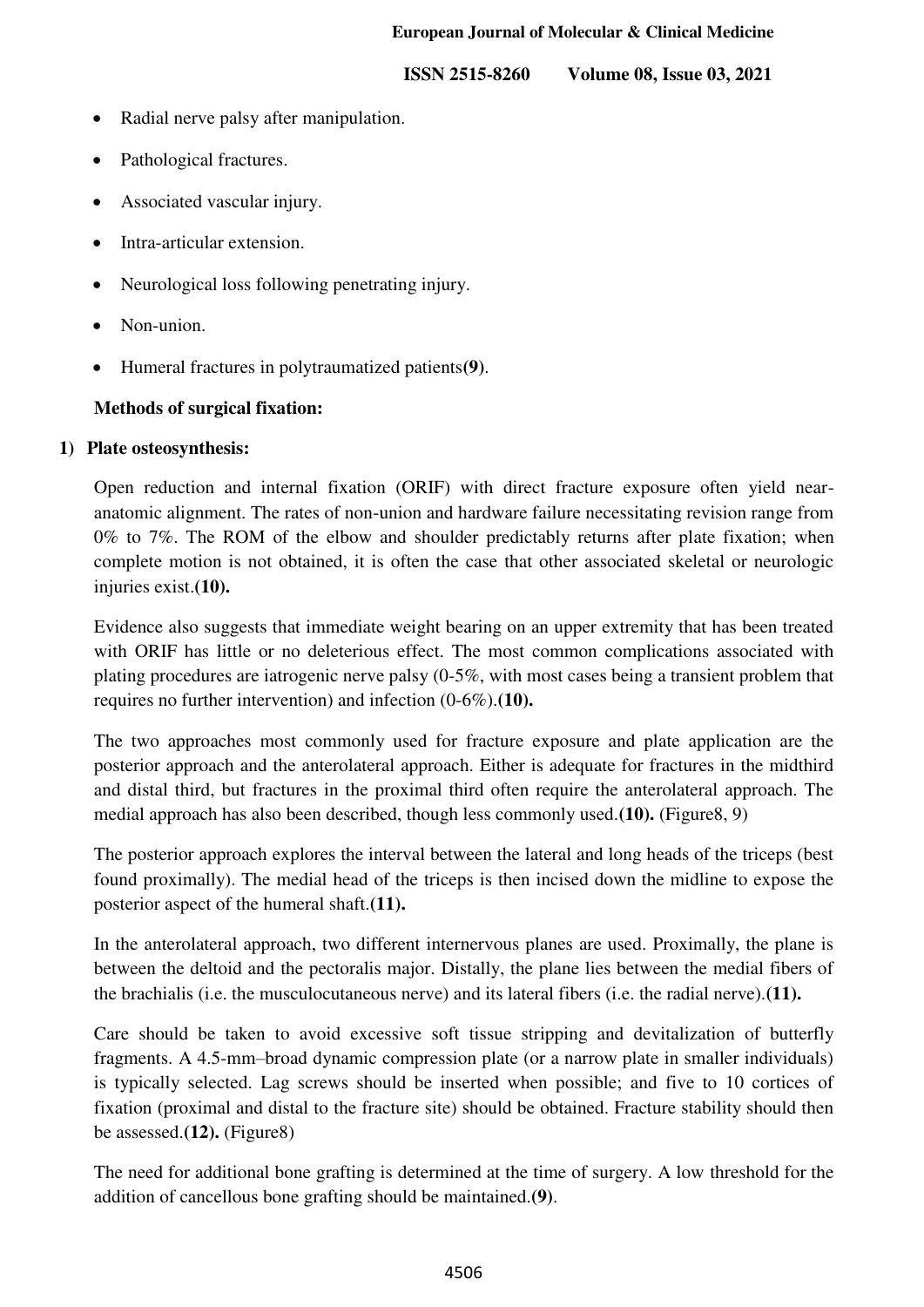- Radial nerve palsy after manipulation.
- Pathological fractures.
- Associated vascular injury.
- Intra-articular extension.
- Neurological loss following penetrating injury.
- Non-union.
- Humeral fractures in polytraumatized patients**(9)**.

#### **Methods of surgical fixation:**

#### **1) Plate osteosynthesis:**

Open reduction and internal fixation (ORIF) with direct fracture exposure often yield nearanatomic alignment. The rates of non-union and hardware failure necessitating revision range from 0% to 7%. The ROM of the elbow and shoulder predictably returns after plate fixation; when complete motion is not obtained, it is often the case that other associated skeletal or neurologic injuries exist.**(10).** 

Evidence also suggests that immediate weight bearing on an upper extremity that has been treated with ORIF has little or no deleterious effect. The most common complications associated with plating procedures are iatrogenic nerve palsy (0-5%, with most cases being a transient problem that requires no further intervention) and infection (0-6%).**(10).**

The two approaches most commonly used for fracture exposure and plate application are the posterior approach and the anterolateral approach. Either is adequate for fractures in the midthird and distal third, but fractures in the proximal third often require the anterolateral approach. The medial approach has also been described, though less commonly used.**(10).** (Figure8, 9)

The posterior approach explores the interval between the lateral and long heads of the triceps (best found proximally). The medial head of the triceps is then incised down the midline to expose the posterior aspect of the humeral shaft.**(11).**

In the anterolateral approach, two different internervous planes are used. Proximally, the plane is between the deltoid and the pectoralis major. Distally, the plane lies between the medial fibers of the brachialis (i.e. the musculocutaneous nerve) and its lateral fibers (i.e. the radial nerve).**(11).**

Care should be taken to avoid excessive soft tissue stripping and devitalization of butterfly fragments. A 4.5-mm–broad dynamic compression plate (or a narrow plate in smaller individuals) is typically selected. Lag screws should be inserted when possible; and five to 10 cortices of fixation (proximal and distal to the fracture site) should be obtained. Fracture stability should then be assessed.**(12).** (Figure8)

The need for additional bone grafting is determined at the time of surgery. A low threshold for the addition of cancellous bone grafting should be maintained.**(9)**.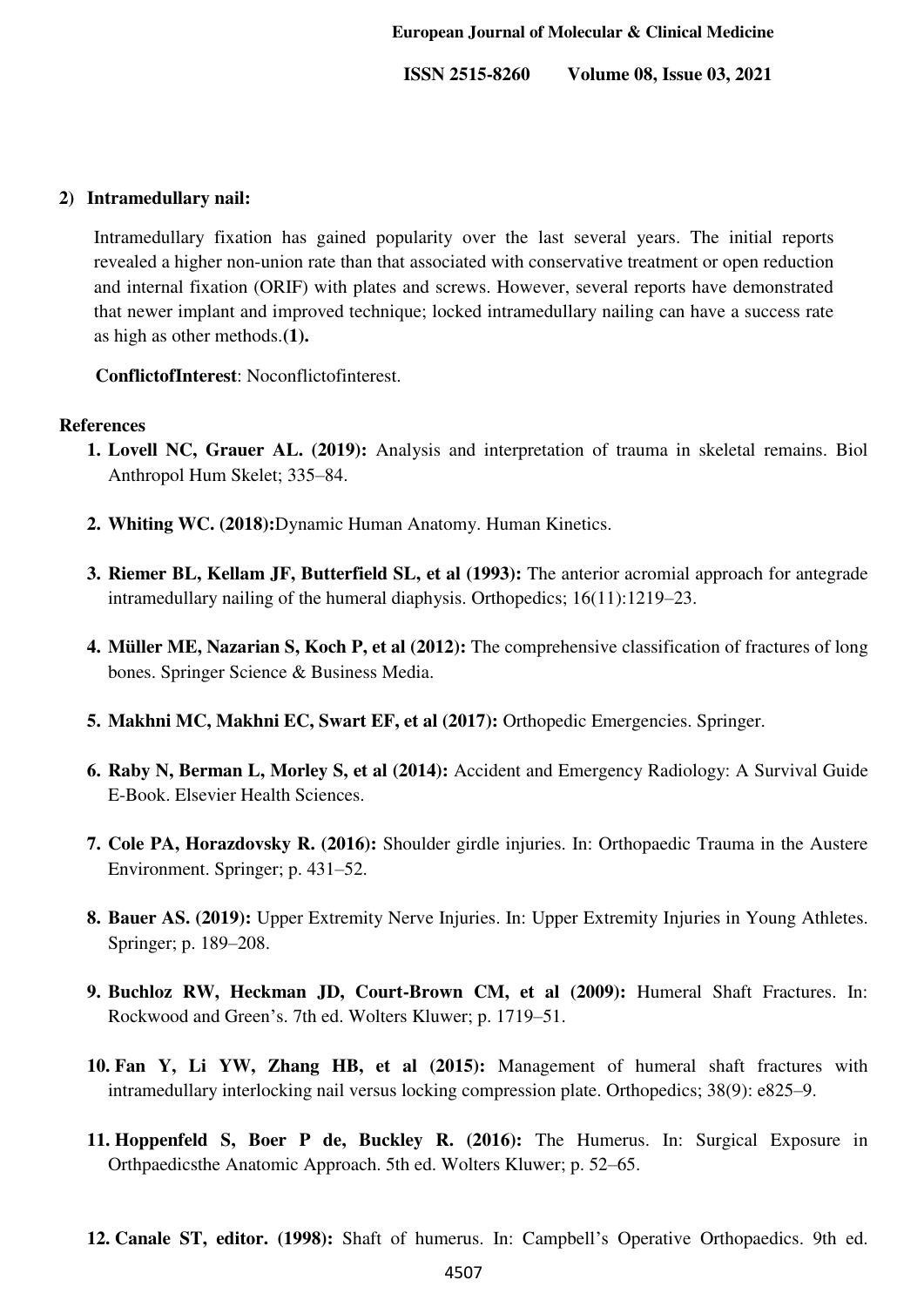#### **2) Intramedullary nail:**

Intramedullary fixation has gained popularity over the last several years. The initial reports revealed a higher non-union rate than that associated with conservative treatment or open reduction and internal fixation (ORIF) with plates and screws. However, several reports have demonstrated that newer implant and improved technique; locked intramedullary nailing can have a success rate as high as other methods.**(1).**

**ConflictofInterest**: Noconflictofinterest.

#### **References**

- **1. Lovell NC, Grauer AL. (2019):** Analysis and interpretation of trauma in skeletal remains. Biol Anthropol Hum Skelet; 335–84.
- **2. Whiting WC. (2018):**Dynamic Human Anatomy. Human Kinetics.
- **3. Riemer BL, Kellam JF, Butterfield SL, et al (1993):** The anterior acromial approach for antegrade intramedullary nailing of the humeral diaphysis. Orthopedics; 16(11):1219–23.
- **4. Müller ME, Nazarian S, Koch P, et al (2012):** The comprehensive classification of fractures of long bones. Springer Science & Business Media.
- **5. Makhni MC, Makhni EC, Swart EF, et al (2017):** Orthopedic Emergencies. Springer.
- **6. Raby N, Berman L, Morley S, et al (2014):** Accident and Emergency Radiology: A Survival Guide E-Book. Elsevier Health Sciences.
- **7. Cole PA, Horazdovsky R. (2016):** Shoulder girdle injuries. In: Orthopaedic Trauma in the Austere Environment. Springer; p. 431–52.
- **8. Bauer AS. (2019):** Upper Extremity Nerve Injuries. In: Upper Extremity Injuries in Young Athletes. Springer; p. 189–208.
- **9. Buchloz RW, Heckman JD, Court-Brown CM, et al (2009):** Humeral Shaft Fractures. In: Rockwood and Green's. 7th ed. Wolters Kluwer; p. 1719–51.
- **10. Fan Y, Li YW, Zhang HB, et al (2015):** Management of humeral shaft fractures with intramedullary interlocking nail versus locking compression plate. Orthopedics; 38(9): e825–9.
- **11. Hoppenfeld S, Boer P de, Buckley R. (2016):** The Humerus. In: Surgical Exposure in Orthpaedicsthe Anatomic Approach. 5th ed. Wolters Kluwer; p. 52–65.
- **12. Canale ST, editor. (1998):** Shaft of humerus. In: Campbell's Operative Orthopaedics. 9th ed.